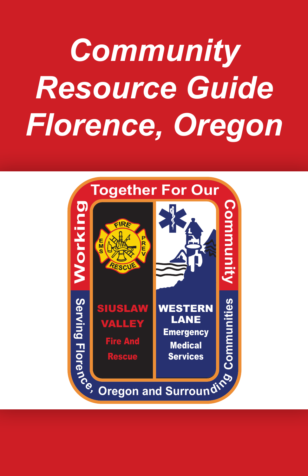# *Community Resource Guide Florence, Oregon*

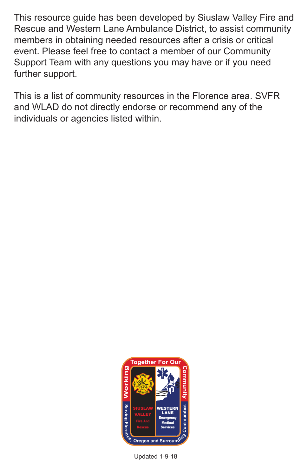This resource guide has been developed by Siuslaw Valley Fire and Rescue and Western Lane Ambulance District, to assist community members in obtaining needed resources after a crisis or critical event. Please feel free to contact a member of our Community Support Team with any questions you may have or if you need further support.

This is a list of community resources in the Florence area. SVFR and WLAD do not directly endorse or recommend any of the individuals or agencies listed within.



Updated 1-9-18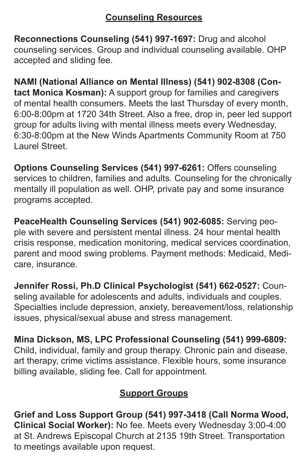## **Counseling Resources**

**Reconnections Counseling (541) 997-1697:** Drug and alcohol counseling services. Group and individual counseling available. OHP accepted and sliding fee.

**NAMI (National Alliance on Mental Illness) (541) 902-8308 (Contact Monica Kosman):** A support group for families and caregivers of mental health consumers. Meets the last Thursday of every month, 6:00-8:00pm at 1720 34th Street. Also a free, drop in, peer led support group for adults living with mental illness meets every Wednesday, 6:30-8:00pm at the New Winds Apartments Community Room at 750 Laurel Street.

**Options Counseling Services (541) 997-6261:** Offers counseling services to children, families and adults. Counseling for the chronically mentally ill population as well. OHP, private pay and some insurance programs accepted.

**PeaceHealth Counseling Services (541) 902-6085:** Serving people with severe and persistent mental illness. 24 hour mental health crisis response, medication monitoring, medical services coordination, parent and mood swing problems. Payment methods: Medicaid, Medicare, insurance.

**Jennifer Rossi, Ph.D Clinical Psychologist (541) 662-0527:** Counseling available for adolescents and adults, individuals and couples. Specialties include depression, anxiety, bereavement/loss, relationship issues, physical/sexual abuse and stress management.

**Mina Dickson, MS, LPC Professional Counseling (541) 999-6809:** Child, individual, family and group therapy. Chronic pain and disease, art therapy, crime victims assistance. Flexible hours, some insurance billing available, sliding fee. Call for appointment.

# **Support Groups**

**Grief and Loss Support Group (541) 997-3418 (Call Norma Wood, Clinical Social Worker):** No fee. Meets every Wednesday 3:00-4:00 at St. Andrews Episcopal Church at 2135 19th Street. Transportation to meetings available upon request.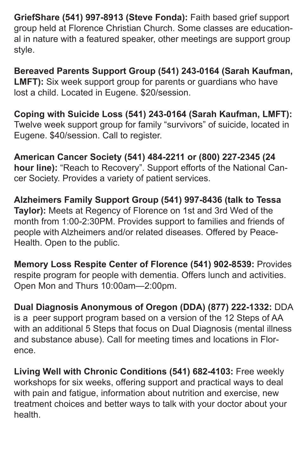**GriefShare (541) 997-8913 (Steve Fonda):** Faith based grief support group held at Florence Christian Church. Some classes are educational in nature with a featured speaker, other meetings are support group style.

**Bereaved Parents Support Group (541) 243-0164 (Sarah Kaufman, LMFT):** Six week support group for parents or guardians who have lost a child. Located in Eugene. \$20/session.

**Coping with Suicide Loss (541) 243-0164 (Sarah Kaufman, LMFT):** Twelve week support group for family "survivors" of suicide, located in Eugene. \$40/session. Call to register.

**American Cancer Society (541) 484-2211 or (800) 227-2345 (24 hour line):** "Reach to Recovery". Support efforts of the National Cancer Society. Provides a variety of patient services.

**Alzheimers Family Support Group (541) 997-8436 (talk to Tessa Taylor):** Meets at Regency of Florence on 1st and 3rd Wed of the month from 1:00-2:30PM. Provides support to families and friends of people with Alzheimers and/or related diseases. Offered by Peace-Health. Open to the public.

**Memory Loss Respite Center of Florence (541) 902-8539:** Provides respite program for people with dementia. Offers lunch and activities. Open Mon and Thurs 10:00am—2:00pm.

**Dual Diagnosis Anonymous of Oregon (DDA) (877) 222-1332:** DDA is a peer support program based on a version of the 12 Steps of AA with an additional 5 Steps that focus on Dual Diagnosis (mental illness and substance abuse). Call for meeting times and locations in Florence.

**Living Well with Chronic Conditions (541) 682-4103:** Free weekly workshops for six weeks, offering support and practical ways to deal with pain and fatigue, information about nutrition and exercise, new treatment choices and better ways to talk with your doctor about your health.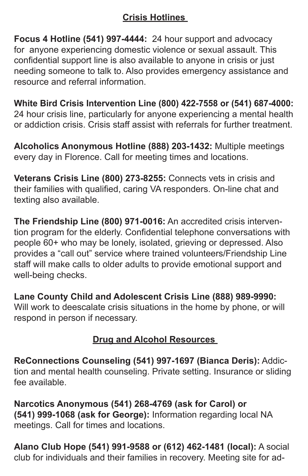# **Crisis Hotlines**

**Focus 4 Hotline (541) 997-4444:** 24 hour support and advocacy for anyone experiencing domestic violence or sexual assault. This confidential support line is also available to anyone in crisis or just needing someone to talk to. Also provides emergency assistance and resource and referral information.

**White Bird Crisis Intervention Line (800) 422-7558 or (541) 687-4000:** 24 hour crisis line, particularly for anyone experiencing a mental health or addiction crisis. Crisis staff assist with referrals for further treatment.

**Alcoholics Anonymous Hotline (888) 203-1432:** Multiple meetings every day in Florence. Call for meeting times and locations.

**Veterans Crisis Line (800) 273-8255:** Connects vets in crisis and their families with qualified, caring VA responders. On-line chat and texting also available.

**The Friendship Line (800) 971-0016:** An accredited crisis intervention program for the elderly. Confidential telephone conversations with people 60+ who may be lonely, isolated, grieving or depressed. Also provides a "call out" service where trained volunteers/Friendship Line staff will make calls to older adults to provide emotional support and well-being checks.

**Lane County Child and Adolescent Crisis Line (888) 989-9990:** Will work to deescalate crisis situations in the home by phone, or will respond in person if necessary.

## **Drug and Alcohol Resources**

**ReConnections Counseling (541) 997-1697 (Bianca Deris):** Addiction and mental health counseling. Private setting. Insurance or sliding fee available.

**Narcotics Anonymous (541) 268-4769 (ask for Carol) or (541) 999-1068 (ask for George):** Information regarding local NA meetings. Call for times and locations.

**Alano Club Hope (541) 991-9588 or (612) 462-1481 (local):** A social club for individuals and their families in recovery. Meeting site for ad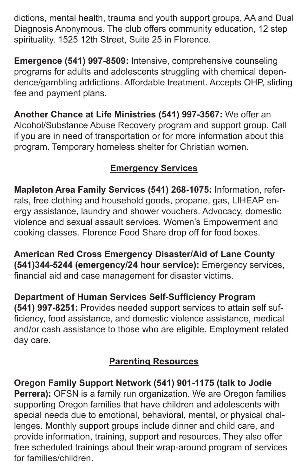dictions, mental health, trauma and youth support groups, AA and Dual Diagnosis Anonymous. The club offers community education, 12 step spirituality. 1525 12th Street, Suite 25 in Florence.

**Emergence (541) 997-8509:** Intensive, comprehensive counseling programs for adults and adolescents struggling with chemical dependence/gambling addictions. Affordable treatment. Accepts OHP, sliding fee and payment plans.

**Another Chance at Life Ministries (541) 997-3567:** We offer an Alcohol/Substance Abuse Recovery program and support group. Call if you are in need of transportation or for more information about this program. Temporary homeless shelter for Christian women.

# **Emergency Services**

**Mapleton Area Family Services (541) 268-1075:** Information, referrals, free clothing and household goods, propane, gas, LIHEAP energy assistance, laundry and shower vouchers. Advocacy, domestic violence and sexual assault services. Women's Empowerment and cooking classes. Florence Food Share drop off for food boxes.

**American Red Cross Emergency Disaster/Aid of Lane County (541)344-5244 (emergency/24 hour service):** Emergency services, financial aid and case management for disaster victims.

**Department of Human Services Self-Sufficiency Program (541) 997-8251:** Provides needed support services to attain self sufficiency, food assistance, and domestic violence assistance, medical and/or cash assistance to those who are eligible. Employment related day care.

# **Parenting Resources**

**Oregon Family Support Network (541) 901-1175 (talk to Jodie Perrera):** OFSN is a family run organization. We are Oregon families supporting Oregon families that have children and adolescents with special needs due to emotional, behavioral, mental, or physical challenges. Monthly support groups include dinner and child care, and provide information, training, support and resources. They also offer free scheduled trainings about their wrap-around program of services for families/children.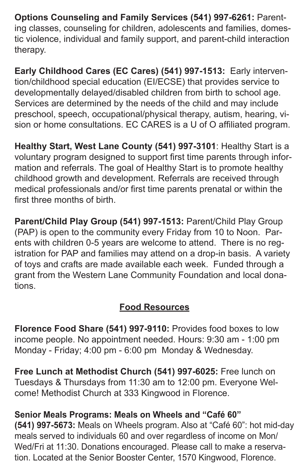**Options Counseling and Family Services (541) 997-6261:** Parenting classes, counseling for children, adolescents and families, domestic violence, individual and family support, and parent-child interaction therapy.

**Early Childhood Cares (EC Cares) (541) 997-1513:** Early intervention/childhood special education (EI/ECSE) that provides service to developmentally delayed/disabled children from birth to school age. Services are determined by the needs of the child and may include preschool, speech, occupational/physical therapy, autism, hearing, vision or home consultations. EC CARES is a U of O affiliated program.

**Healthy Start, West Lane County (541) 997-3101**: Healthy Start is a voluntary program designed to support first time parents through information and referrals. The goal of Healthy Start is to promote healthy childhood growth and development. Referrals are received through medical professionals and/or first time parents prenatal or within the first three months of birth.

**Parent/Child Play Group (541) 997-1513:** Parent/Child Play Group (PAP) is open to the community every Friday from 10 to Noon. Parents with children 0-5 years are welcome to attend. There is no registration for PAP and families may attend on a drop-in basis. A variety of toys and crafts are made available each week. Funded through a grant from the Western Lane Community Foundation and local donations.

### **Food Resources**

**Florence Food Share (541) 997-9110:** Provides food boxes to low income people. No appointment needed. Hours: 9:30 am - 1:00 pm Monday - Friday; 4:00 pm - 6:00 pm Monday & Wednesday.

**Free Lunch at Methodist Church (541) 997-6025:** Free lunch on Tuesdays & Thursdays from 11:30 am to 12:00 pm. Everyone Welcome! Methodist Church at 333 Kingwood in Florence.

**Senior Meals Programs: Meals on Wheels and "Café 60"** 

**(541) 997-5673:** Meals on Wheels program. Also at "Café 60": hot mid-day meals served to individuals 60 and over regardless of income on Mon/ Wed/Fri at 11:30. Donations encouraged. Please call to make a reservation. Located at the Senior Booster Center, 1570 Kingwood, Florence.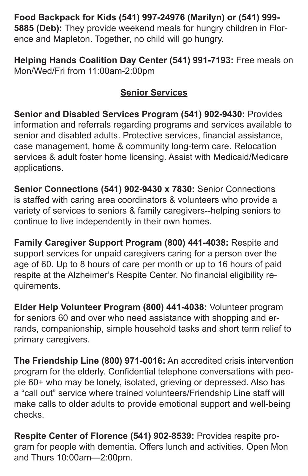**Food Backpack for Kids (541) 997-24976 (Marilyn) or (541) 999-**

**5885 (Deb):** They provide weekend meals for hungry children in Florence and Mapleton. Together, no child will go hungry.

**Helping Hands Coalition Day Center (541) 991-7193:** Free meals on Mon/Wed/Fri from 11:00am-2:00pm

## **Senior Services**

**Senior and Disabled Services Program (541) 902-9430:** Provides information and referrals regarding programs and services available to senior and disabled adults. Protective services, financial assistance, case management, home & community long-term care. Relocation services & adult foster home licensing. Assist with Medicaid/Medicare applications.

**Senior Connections (541) 902-9430 x 7830:** Senior Connections is staffed with caring area coordinators & volunteers who provide a variety of services to seniors & family caregivers--helping seniors to continue to live independently in their own homes.

**Family Caregiver Support Program (800) 441-4038:** Respite and support services for unpaid caregivers caring for a person over the age of 60. Up to 8 hours of care per month or up to 16 hours of paid respite at the Alzheimer's Respite Center. No financial eligibility requirements.

**Elder Help Volunteer Program (800) 441-4038:** Volunteer program for seniors 60 and over who need assistance with shopping and errands, companionship, simple household tasks and short term relief to primary caregivers.

**The Friendship Line (800) 971-0016:** An accredited crisis intervention program for the elderly. Confidential telephone conversations with people 60+ who may be lonely, isolated, grieving or depressed. Also has a "call out" service where trained volunteers/Friendship Line staff will make calls to older adults to provide emotional support and well-being checks.

**Respite Center of Florence (541) 902-8539:** Provides respite program for people with dementia. Offers lunch and activities. Open Mon and Thurs 10:00am—2:00pm.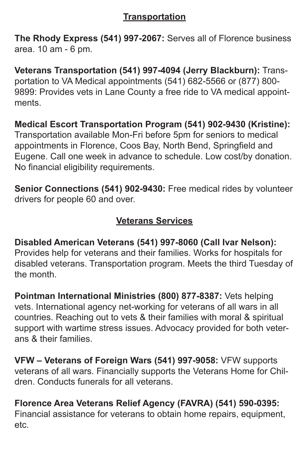## **Transportation**

**The Rhody Express (541) 997-2067:** Serves all of Florence business area. 10 am - 6 pm.

**Veterans Transportation (541) 997-4094 (Jerry Blackburn):** Transportation to VA Medical appointments (541) 682-5566 or (877) 800- 9899: Provides vets in Lane County a free ride to VA medical appointments.

## **Medical Escort Transportation Program (541) 902-9430 (Kristine):**

Transportation available Mon-Fri before 5pm for seniors to medical appointments in Florence, Coos Bay, North Bend, Springfield and Eugene. Call one week in advance to schedule. Low cost/by donation. No financial eligibility requirements.

**Senior Connections (541) 902-9430:** Free medical rides by volunteer drivers for people 60 and over.

## **Veterans Services**

**Disabled American Veterans (541) 997-8060 (Call Ivar Nelson):** Provides help for veterans and their families. Works for hospitals for disabled veterans. Transportation program. Meets the third Tuesday of the month.

**Pointman International Ministries (800) 877-8387:** Vets helping vets. International agency net-working for veterans of all wars in all countries. Reaching out to vets & their families with moral & spiritual support with wartime stress issues. Advocacy provided for both veterans & their families.

**VFW – Veterans of Foreign Wars (541) 997-9058:** VFW supports veterans of all wars. Financially supports the Veterans Home for Children. Conducts funerals for all veterans.

**Florence Area Veterans Relief Agency (FAVRA) (541) 590-0395:** Financial assistance for veterans to obtain home repairs, equipment, etc.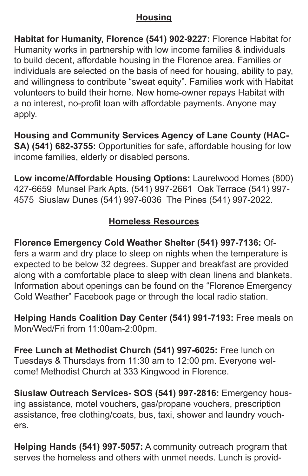## **Housing**

**Habitat for Humanity, Florence (541) 902-9227:** Florence Habitat for Humanity works in partnership with low income families & individuals to build decent, affordable housing in the Florence area. Families or individuals are selected on the basis of need for housing, ability to pay, and willingness to contribute "sweat equity". Families work with Habitat volunteers to build their home. New home-owner repays Habitat with a no interest, no-profit loan with affordable payments. Anyone may apply.

**Housing and Community Services Agency of Lane County (HAC-SA) (541) 682-3755:** Opportunities for safe, affordable housing for low income families, elderly or disabled persons.

**Low income/Affordable Housing Options:** Laurelwood Homes (800) 427-6659 Munsel Park Apts. (541) 997-2661 Oak Terrace (541) 997- 4575 Siuslaw Dunes (541) 997-6036 The Pines (541) 997-2022.

# **Homeless Resources**

**Florence Emergency Cold Weather Shelter (541) 997-7136:** Offers a warm and dry place to sleep on nights when the temperature is expected to be below 32 degrees. Supper and breakfast are provided along with a comfortable place to sleep with clean linens and blankets. Information about openings can be found on the "Florence Emergency Cold Weather" Facebook page or through the local radio station.

**Helping Hands Coalition Day Center (541) 991-7193:** Free meals on Mon/Wed/Fri from 11:00am-2:00pm.

**Free Lunch at Methodist Church (541) 997-6025:** Free lunch on Tuesdays & Thursdays from 11:30 am to 12:00 pm. Everyone welcome! Methodist Church at 333 Kingwood in Florence.

**Siuslaw Outreach Services- SOS (541) 997-2816:** Emergency housing assistance, motel vouchers, gas/propane vouchers, prescription assistance, free clothing/coats, bus, taxi, shower and laundry vouchers.

**Helping Hands (541) 997-5057:** A community outreach program that serves the homeless and others with unmet needs. Lunch is provid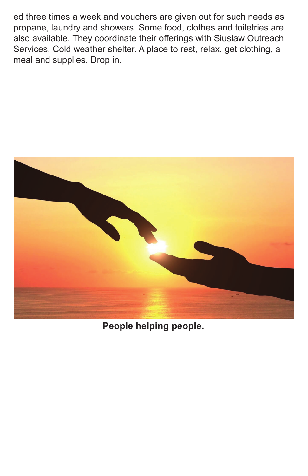ed three times a week and vouchers are given out for such needs as propane, laundry and showers. Some food, clothes and toiletries are also available. They coordinate their offerings with Siuslaw Outreach Services. Cold weather shelter. A place to rest, relax, get clothing, a meal and supplies. Drop in.



**People helping people.**